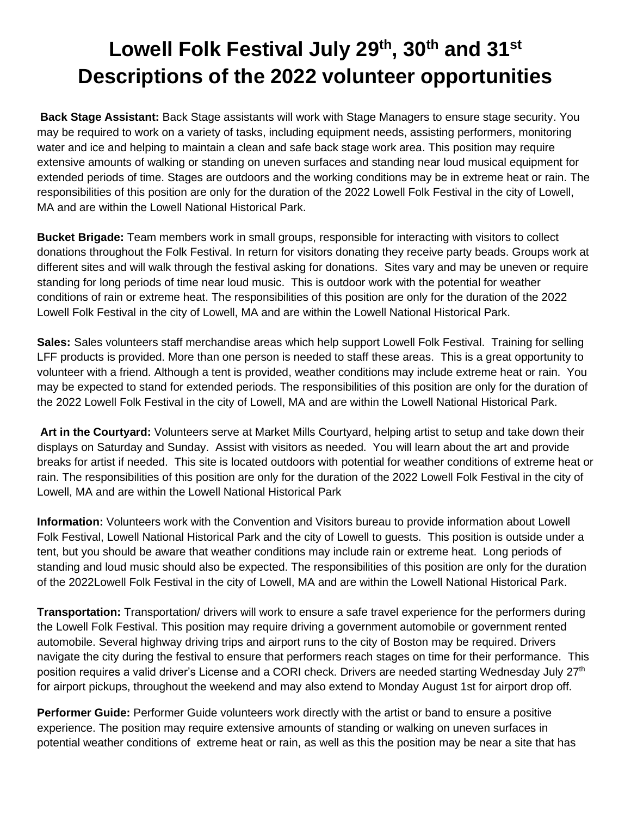## **Lowell Folk Festival July 29th , 30th and 31st Descriptions of the 2022 volunteer opportunities**

**Back Stage Assistant:** Back Stage assistants will work with Stage Managers to ensure stage security. You may be required to work on a variety of tasks, including equipment needs, assisting performers, monitoring water and ice and helping to maintain a clean and safe back stage work area. This position may require extensive amounts of walking or standing on uneven surfaces and standing near loud musical equipment for extended periods of time. Stages are outdoors and the working conditions may be in extreme heat or rain. The responsibilities of this position are only for the duration of the 2022 Lowell Folk Festival in the city of Lowell, MA and are within the Lowell National Historical Park.

**Bucket Brigade:** Team members work in small groups, responsible for interacting with visitors to collect donations throughout the Folk Festival. In return for visitors donating they receive party beads. Groups work at different sites and will walk through the festival asking for donations. Sites vary and may be uneven or require standing for long periods of time near loud music. This is outdoor work with the potential for weather conditions of rain or extreme heat. The responsibilities of this position are only for the duration of the 2022 Lowell Folk Festival in the city of Lowell, MA and are within the Lowell National Historical Park.

**Sales:** Sales volunteers staff merchandise areas which help support Lowell Folk Festival. Training for selling LFF products is provided. More than one person is needed to staff these areas. This is a great opportunity to volunteer with a friend. Although a tent is provided, weather conditions may include extreme heat or rain. You may be expected to stand for extended periods. The responsibilities of this position are only for the duration of the 2022 Lowell Folk Festival in the city of Lowell, MA and are within the Lowell National Historical Park.

**Art in the Courtyard:** Volunteers serve at Market Mills Courtyard, helping artist to setup and take down their displays on Saturday and Sunday. Assist with visitors as needed. You will learn about the art and provide breaks for artist if needed. This site is located outdoors with potential for weather conditions of extreme heat or rain. The responsibilities of this position are only for the duration of the 2022 Lowell Folk Festival in the city of Lowell, MA and are within the Lowell National Historical Park

**Information:** Volunteers work with the Convention and Visitors bureau to provide information about Lowell Folk Festival, Lowell National Historical Park and the city of Lowell to guests. This position is outside under a tent, but you should be aware that weather conditions may include rain or extreme heat. Long periods of standing and loud music should also be expected. The responsibilities of this position are only for the duration of the 2022Lowell Folk Festival in the city of Lowell, MA and are within the Lowell National Historical Park.

**Transportation:** Transportation/ drivers will work to ensure a safe travel experience for the performers during the Lowell Folk Festival. This position may require driving a government automobile or government rented automobile. Several highway driving trips and airport runs to the city of Boston may be required. Drivers navigate the city during the festival to ensure that performers reach stages on time for their performance. This position requires a valid driver's License and a CORI check. Drivers are needed starting Wednesday July 27<sup>th</sup> for airport pickups, throughout the weekend and may also extend to Monday August 1st for airport drop off.

**Performer Guide:** Performer Guide volunteers work directly with the artist or band to ensure a positive experience. The position may require extensive amounts of standing or walking on uneven surfaces in potential weather conditions of extreme heat or rain, as well as this the position may be near a site that has